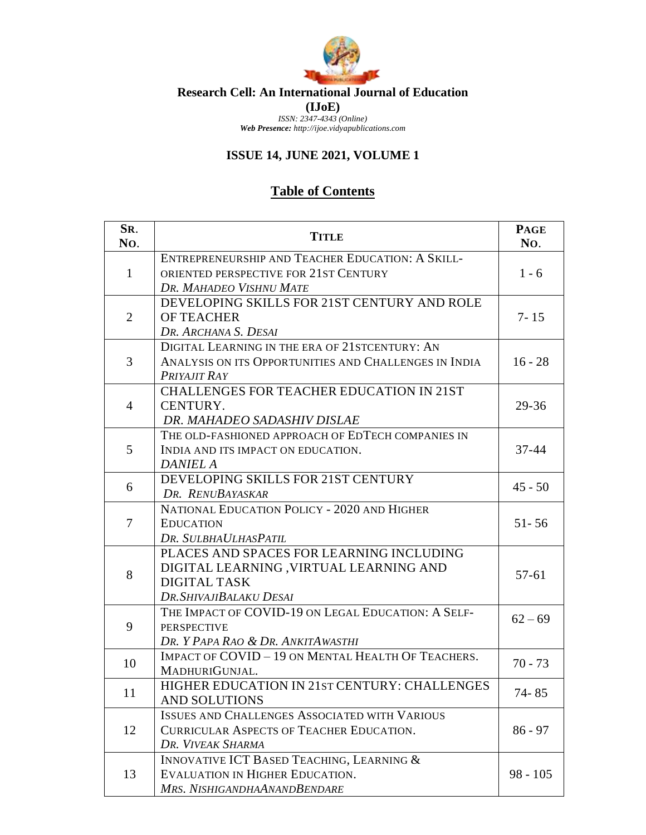

## **Research Cell: An International Journal of Education (IJoE)** *ISSN: 2347-4343 (Online)*

*Web Presence: http://ijoe.vidyapublications.com*

## **ISSUE 14, JUNE 2021, VOLUME 1**

## **Table of Contents**

| SR.<br>No.     | <b>TITLE</b>                                                                                                                         | <b>PAGE</b><br>No. |
|----------------|--------------------------------------------------------------------------------------------------------------------------------------|--------------------|
| $\mathbf{1}$   | ENTREPRENEURSHIP AND TEACHER EDUCATION: A SKILL-<br>ORIENTED PERSPECTIVE FOR 21ST CENTURY<br>DR. MAHADEO VISHNU MATE                 | $1 - 6$            |
| $\overline{2}$ | DEVELOPING SKILLS FOR 21ST CENTURY AND ROLE<br><b>OF TEACHER</b><br>DR. ARCHANA S. DESAI                                             | $7 - 15$           |
| 3              | DIGITAL LEARNING IN THE ERA OF 21 STCENTURY: AN<br>ANALYSIS ON ITS OPPORTUNITIES AND CHALLENGES IN INDIA<br>PRIYAJIT RAY             | $16 - 28$          |
| $\overline{4}$ | <b>CHALLENGES FOR TEACHER EDUCATION IN 21ST</b><br>CENTURY.<br>DR. MAHADEO SADASHIV DISLAE                                           | $29 - 36$          |
| 5              | THE OLD-FASHIONED APPROACH OF EDTECH COMPANIES IN<br>INDIA AND ITS IMPACT ON EDUCATION.<br><b>DANIEL A</b>                           | $37 - 44$          |
| 6              | DEVELOPING SKILLS FOR 21ST CENTURY<br>DR. RENUBAYASKAR                                                                               | $45 - 50$          |
| 7              | NATIONAL EDUCATION POLICY - 2020 AND HIGHER<br><b>EDUCATION</b><br>DR. SULBHAULHASPATIL                                              | $51 - 56$          |
| 8              | PLACES AND SPACES FOR LEARNING INCLUDING<br>DIGITAL LEARNING, VIRTUAL LEARNING AND<br><b>DIGITAL TASK</b><br>DR. SHIVAJIBALAKU DESAI | $57 - 61$          |
| 9              | THE IMPACT OF COVID-19 ON LEGAL EDUCATION: A SELF-<br><b>PERSPECTIVE</b><br>DR. Y PAPA RAO & DR. ANKITAWASTHI                        | $62 - 69$          |
| 10             | IMPACT OF COVID - 19 ON MENTAL HEALTH OF TEACHERS.<br>MADHURIGUNJAL.                                                                 | $70 - 73$          |
| 11             | HIGHER EDUCATION IN 21ST CENTURY: CHALLENGES<br>AND SOLUTIONS                                                                        | 74 - 85            |
| 12             | <b>ISSUES AND CHALLENGES ASSOCIATED WITH VARIOUS</b><br><b>CURRICULAR ASPECTS OF TEACHER EDUCATION.</b><br>DR. VIVEAK SHARMA         | $86 - 97$          |
| 13             | INNOVATIVE ICT BASED TEACHING, LEARNING &<br>EVALUATION IN HIGHER EDUCATION.<br>MRS. NISHIGANDHAANANDBENDARE                         | $98 - 105$         |